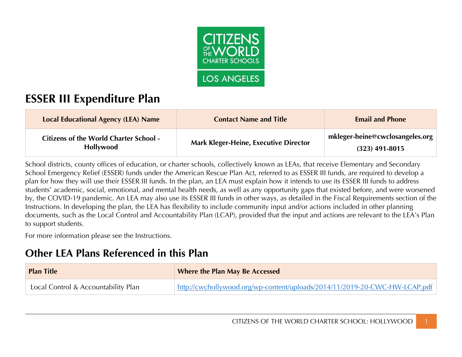

# **ESSER III Expenditure Plan**

| Local Educational Agency (LEA) Name                               | <b>Contact Name and Title</b>                | <b>Email and Phone</b>                                                      |
|-------------------------------------------------------------------|----------------------------------------------|-----------------------------------------------------------------------------|
| <b>Citizens of the World Charter School -</b><br><b>Hollywood</b> | <b>Mark Kleger-Heine, Executive Director</b> | $\parallel$ mkleger-heine@cwclosangeles.org $\parallel$<br>$(323)$ 491-8015 |

School districts, county offices of education, or charter schools, collectively known as LEAs, that receive Elementary and Secondary School Emergency Relief (ESSER) funds under the American Rescue Plan Act, referred to as ESSER III funds, are required to develop a plan for how they will use their ESSER III funds. In the plan, an LEA must explain how it intends to use its ESSER III funds to address students' academic, social, emotional, and mental health needs, as well as any opportunity gaps that existed before, and were worsened by, the COVID-19 pandemic. An LEA may also use its ESSER III funds in other ways, as detailed in the Fiscal Requirements section of the Instructions. In developing the plan, the LEA has flexibility to include community input and/or actions included in other planning documents, such as the Local Control and Accountability Plan (LCAP), provided that the input and actions are relevant to the LEA's Plan to support students.

For more information please see the Instructions.

## **Other LEA Plans Referenced in this Plan**

| <b>Plan Title</b>                   | <b>Where the Plan May Be Accessed</b>                                      |
|-------------------------------------|----------------------------------------------------------------------------|
| Local Control & Accountability Plan | http://cwchollywood.org/wp-content/uploads/2014/11/2019-20-CWC-HW-LCAP.pdf |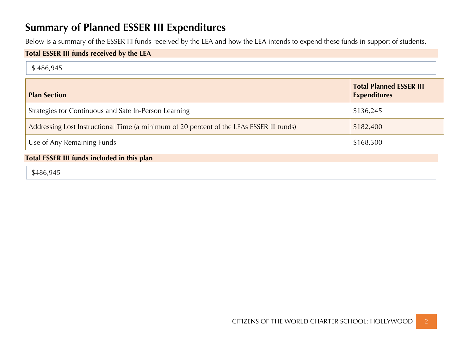# **Summary of Planned ESSER III Expenditures**

Below is a summary of the ESSER III funds received by the LEA and how the LEA intends to expend these funds in support of students.

### **Total ESSER III funds received by the LEA**

|  |  | \$486,945 |
|--|--|-----------|
|--|--|-----------|

| <b>Plan Section</b>                                                                      | <b>Total Planned ESSER III</b><br><b>Expenditures</b> |
|------------------------------------------------------------------------------------------|-------------------------------------------------------|
| Strategies for Continuous and Safe In-Person Learning                                    | \$136,245                                             |
| Addressing Lost Instructional Time (a minimum of 20 percent of the LEAs ESSER III funds) | \$182,400                                             |
| Use of Any Remaining Funds                                                               | \$168,300                                             |

### **Total ESSER III funds included in this plan**

\$486,945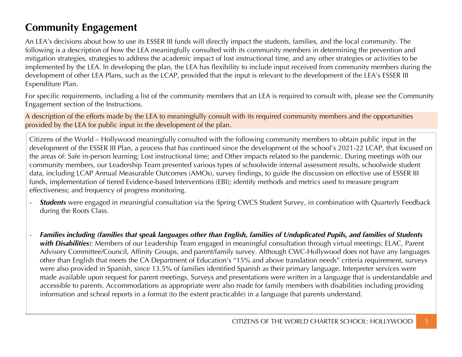# **Community Engagement**

An LEA's decisions about how to use its ESSER III funds will directly impact the students, families, and the local community. The following is a description of how the LEA meaningfully consulted with its community members in determining the prevention and mitigation strategies, strategies to address the academic impact of lost instructional time, and any other strategies or activities to be implemented by the LEA. In developing the plan, the LEA has flexibility to include input received from community members during the development of other LEA Plans, such as the LCAP, provided that the input is relevant to the development of the LEA's ESSER III Expenditure Plan.

For specific requirements, including a list of the community members that an LEA is required to consult with, please see the Community Engagement section of the Instructions.

A description of the efforts made by the LEA to meaningfully consult with its required community members and the opportunities provided by the LEA for public input in the development of the plan.

Citizens of the World – Hollywood meaningfully consulted with the following community members to obtain public input in the development of the ESSER III Plan, a process that has continued since the development of the school's 2021-22 LCAP, that focused on the areas of: Safe in-person learning; Lost instructional time; and Other impacts related to the pandemic. During meetings with our community members, our Leadership Team presented various types of schoolwide internal assessment results, schoolwide student data, including LCAP Annual Measurable Outcomes (AMOs), survey findings, to guide the discussion on effective use of ESSER III funds, implementation of tiered Evidence-based Interventions (EBI); identify methods and metrics used to measure program effectiveness; and frequency of progress monitoring.

- **Students** were engaged in meaningful consultation via the Spring CWCS Student Survey, in combination with Quarterly Feedback during the Roots Class.
- *Families including (families that speak languages other than English, families of Unduplicated Pupils, and families of Students with Disabilities*): Members of our Leadership Team engaged in meaningful consultation through virtual meetings: ELAC, Parent Advisory Committee/Council, Affinity Groups, and parent/family survey. Although CWC-Hollywood does not have any languages other than English that meets the CA Department of Education's "15% and above translation needs" criteria requirement, surveys were also provided in Spanish, since 13.5% of families identified Spanish as their primary language. Interpreter services were made available upon request for parent meetings. Surveys and presentations were written in a language that is understandable and accessible to parents. Accommodations as appropriate were also made for family members with disabilities including providing information and school reports in a format (to the extent practicable) in a language that parents understand.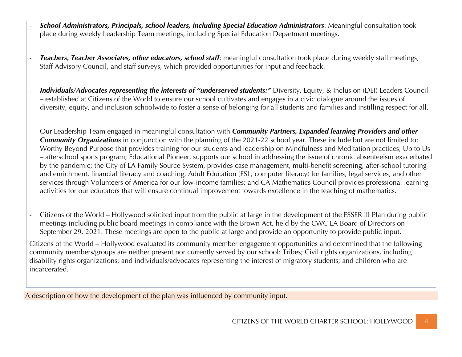- *School Administrators, Principals, school leaders, including Special Education Administrators*: Meaningful consultation took place during weekly Leadership Team meetings, including Special Education Department meetings.
- *Teachers, Teacher Associates, other educators, school staff*: meaningful consultation took place during weekly staff meetings, Staff Advisory Council, and staff surveys, which provided opportunities for input and feedback.
- *Individuals/Advocates representing the interests of "underserved students:"* Diversity, Equity, & Inclusion (DEI) Leaders Council – established at Citizens of the World to ensure our school cultivates and engages in a civic dialogue around the issues of diversity, equity, and inclusion schoolwide to foster a sense of belonging for all students and families and instilling respect for all.
- Our Leadership Team engaged in meaningful consultation with *Community Partners, Expanded learning Providers and other Community Organizations* in conjunction with the planning of the 2021-22 school year. These include but are not limited to: Worthy Beyond Purpose that provides training for our students and leadership on Mindfulness and Meditation practices; Up to Us – afterschool sports program; Educational Pioneer, supports our school in addressing the issue of chronic absenteeism exacerbated by the pandemic; the City of LA Family Source System, provides case management, multi-benefit screening, after-school tutoring and enrichment, financial literacy and coaching, Adult Education (ESL, computer literacy) for families, legal services, and other services through Volunteers of America for our low-income families; and CA Mathematics Council provides professional learning activities for our educators that will ensure continual improvement towards excellence in the teaching of mathematics.
- Citizens of the World Hollywood solicited input from the public at large in the development of the ESSER III Plan during public meetings including public board meetings in compliance with the Brown Act, held by the CWC LA Board of Directors on September 29, 2021. These meetings are open to the public at large and provide an opportunity to provide public input.

Citizens of the World – Hollywood evaluated its community member engagement opportunities and determined that the following community members/groups are neither present nor currently served by our school: Tribes; Civil rights organizations, including disability rights organizations; and individuals/advocates representing the interest of migratory students; and children who are incarcerated.

A description of how the development of the plan was influenced by community input.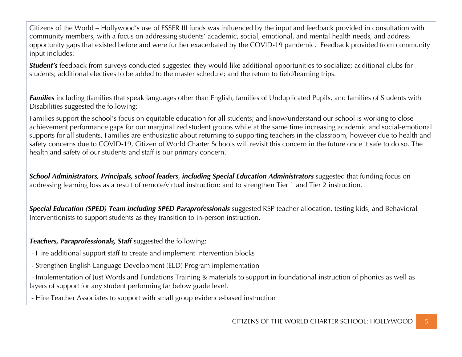Citizens of the World – Hollywood's use of ESSER III funds was influenced by the input and feedback provided in consultation with community members, with a focus on addressing students' academic, social, emotional, and mental health needs, and address opportunity gaps that existed before and were further exacerbated by the COVID-19 pandemic. Feedback provided from community input includes:

*Student's* feedback from surveys conducted suggested they would like additional opportunities to socialize; additional clubs for students; additional electives to be added to the master schedule; and the return to field/learning trips.

*Families* including (families that speak languages other than English, families of Unduplicated Pupils, and families of Students with Disabilities suggested the following:

Families support the school's focus on equitable education for all students; and know/understand our school is working to close achievement performance gaps for our marginalized student groups while at the same time increasing academic and social-emotional supports for all students. Families are enthusiastic about returning to supporting teachers in the classroom, however due to health and safety concerns due to COVID-19, Citizen of World Charter Schools will revisit this concern in the future once it safe to do so. The health and safety of our students and staff is our primary concern.

*School Administrators, Principals, school leaders*, *including Special Education Administrators* suggested that funding focus on addressing learning loss as a result of remote/virtual instruction; and to strengthen Tier 1 and Tier 2 instruction.

*Special Education (SPED) Team including SPED Paraprofessionals* suggested RSP teacher allocation, testing kids, and Behavioral Interventionists to support students as they transition to in-person instruction.

*Teachers, Paraprofessionals, Staff* suggested the following:

- Hire additional support staff to create and implement intervention blocks
- Strengthen English Language Development (ELD) Program implementation
- Implementation of Just Words and Fundations Training & materials to support in foundational instruction of phonics as well as layers of support for any student performing far below grade level.
- Hire Teacher Associates to support with small group evidence-based instruction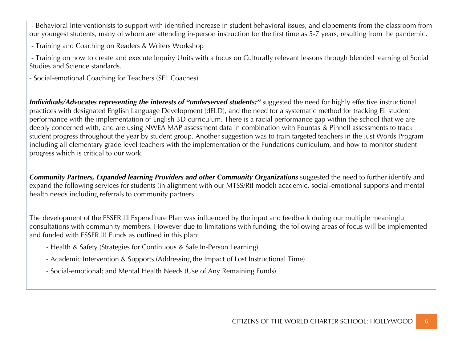- Behavioral Interventionists to support with identified increase in student behavioral issues, and elopements from the classroom from our youngest students, many of whom are attending in-person instruction for the first time as 5-7 years, resulting from the pandemic.

- Training and Coaching on Readers & Writers Workshop

- Training on how to create and execute Inquiry Units with a focus on Culturally relevant lessons through blended learning of Social Studies and Science standards.

- Social-emotional Coaching for Teachers (SEL Coaches)

*Individuals/Advocates representing the interests of "underserved students:"* suggested the need for highly effective instructional practices with designated English Language Development (dELD), and the need for a systematic method for tracking EL student performance with the implementation of English 3D curriculum. There is a racial performance gap within the school that we are deeply concerned with, and are using NWEA MAP assessment data in combination with Fountas & Pinnell assessments to track student progress throughout the year by student group. Another suggestion was to train targeted teachers in the Just Words Program including all elementary grade level teachers with the implementation of the Fundations curriculum, and how to monitor student progress which is critical to our work.

*Community Partners, Expanded learning Providers and other Community Organizations* suggested the need to further identify and expand the following services for students (in alignment with our MTSS/RtI model) academic, social-emotional supports and mental health needs including referrals to community partners.

The development of the ESSER III Expenditure Plan was influenced by the input and feedback during our multiple meaningful consultations with community members. However due to limitations with funding, the following areas of focus will be implemented and funded with ESSER III Funds as outlined in this plan:

- Health & Safety (Strategies for Continuous & Safe In-Person Learning)
- Academic Intervention & Supports (Addressing the Impact of Lost Instructional Time)
- Social-emotional; and Mental Health Needs (Use of Any Remaining Funds)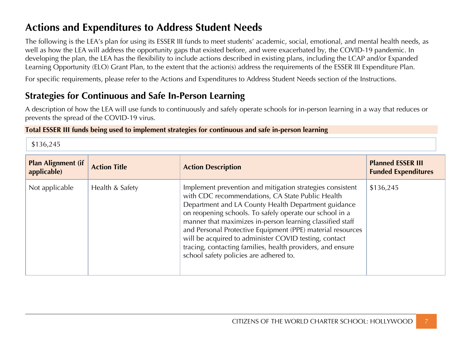# **Actions and Expenditures to Address Student Needs**

The following is the LEA's plan for using its ESSER III funds to meet students' academic, social, emotional, and mental health needs, as well as how the LEA will address the opportunity gaps that existed before, and were exacerbated by, the COVID-19 pandemic. In developing the plan, the LEA has the flexibility to include actions described in existing plans, including the LCAP and/or Expanded Learning Opportunity (ELO) Grant Plan, to the extent that the action(s) address the requirements of the ESSER III Expenditure Plan.

For specific requirements, please refer to the Actions and Expenditures to Address Student Needs section of the Instructions.

## **Strategies for Continuous and Safe In-Person Learning**

A description of how the LEA will use funds to continuously and safely operate schools for in-person learning in a way that reduces or prevents the spread of the COVID-19 virus.

#### **Total ESSER III funds being used to implement strategies for continuous and safe in-person learning**

\$136,245

| <b>Plan Alignment (if</b><br>applicable) | <b>Action Title</b> | <b>Action Description</b>                                                                                                                                                                                                                                                                                                                                                                                                                                                                                                   | <b>Planned ESSER III</b><br><b>Funded Expenditures</b> |
|------------------------------------------|---------------------|-----------------------------------------------------------------------------------------------------------------------------------------------------------------------------------------------------------------------------------------------------------------------------------------------------------------------------------------------------------------------------------------------------------------------------------------------------------------------------------------------------------------------------|--------------------------------------------------------|
| Not applicable                           | Health & Safety     | Implement prevention and mitigation strategies consistent<br>with CDC recommendations, CA State Public Health<br>Department and LA County Health Department guidance<br>on reopening schools. To safely operate our school in a<br>manner that maximizes in-person learning classified staff<br>and Personal Protective Equipment (PPE) material resources<br>will be acquired to administer COVID testing, contact<br>tracing, contacting families, health providers, and ensure<br>school safety policies are adhered to. | \$136,245                                              |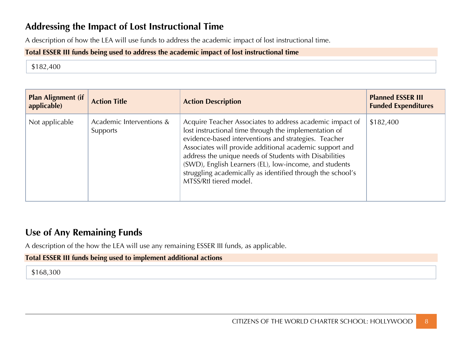## **Addressing the Impact of Lost Instructional Time**

A description of how the LEA will use funds to address the academic impact of lost instructional time.

### **Total ESSER III funds being used to address the academic impact of lost instructional time**

\$182,400

| <b>Plan Alignment (if</b><br>applicable) | <b>Action Title</b>                  | <b>Action Description</b>                                                                                                                                                                                                                                                                                                                                                                                                                        | <b>Planned ESSER III</b><br><b>Funded Expenditures</b> |
|------------------------------------------|--------------------------------------|--------------------------------------------------------------------------------------------------------------------------------------------------------------------------------------------------------------------------------------------------------------------------------------------------------------------------------------------------------------------------------------------------------------------------------------------------|--------------------------------------------------------|
| Not applicable                           | Academic Interventions &<br>Supports | Acquire Teacher Associates to address academic impact of<br>lost instructional time through the implementation of<br>evidence-based interventions and strategies. Teacher<br>Associates will provide additional academic support and<br>address the unique needs of Students with Disabilities<br>(SWD), English Learners (EL), low-income, and students<br>struggling academically as identified through the school's<br>MTSS/Rtl tiered model. | \$182,400                                              |

### **Use of Any Remaining Funds**

A description of the how the LEA will use any remaining ESSER III funds, as applicable.

#### **Total ESSER III funds being used to implement additional actions**

\$168,300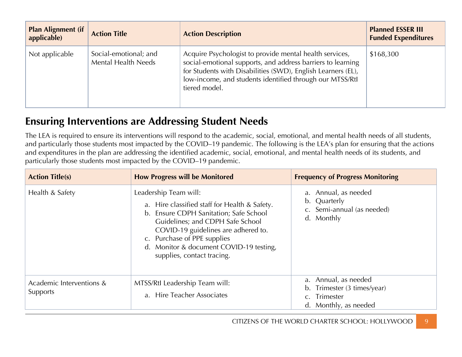| <b>Plan Alignment (if</b><br>applicable) | <b>Action Title</b>                                 | <b>Action Description</b>                                                                                                                                                                                                                                           | <b>Planned ESSER III</b><br><b>Funded Expenditures</b> |
|------------------------------------------|-----------------------------------------------------|---------------------------------------------------------------------------------------------------------------------------------------------------------------------------------------------------------------------------------------------------------------------|--------------------------------------------------------|
| Not applicable                           | Social-emotional; and<br><b>Mental Health Needs</b> | Acquire Psychologist to provide mental health services,<br>social-emotional supports, and address barriers to learning<br>for Students with Disabilities (SWD), English Learners (EL),<br>low-income, and students identified through our MTSS/Rtl<br>tiered model. | \$168,300                                              |

# **Ensuring Interventions are Addressing Student Needs**

The LEA is required to ensure its interventions will respond to the academic, social, emotional, and mental health needs of all students, and particularly those students most impacted by the COVID–19 pandemic. The following is the LEA's plan for ensuring that the actions and expenditures in the plan are addressing the identified academic, social, emotional, and mental health needs of its students, and particularly those students most impacted by the COVID–19 pandemic.

| <b>Action Title(s)</b>               | <b>How Progress will be Monitored</b>                                                                                                                                                                                                                                                               | <b>Frequency of Progress Monitoring</b>                                                      |
|--------------------------------------|-----------------------------------------------------------------------------------------------------------------------------------------------------------------------------------------------------------------------------------------------------------------------------------------------------|----------------------------------------------------------------------------------------------|
| Health & Safety                      | Leadership Team will:<br>a. Hire classified staff for Health & Safety.<br>b. Ensure CDPH Sanitation; Safe School<br>Guidelines; and CDPH Safe School<br>COVID-19 guidelines are adhered to.<br>c. Purchase of PPE supplies<br>d. Monitor & document COVID-19 testing,<br>supplies, contact tracing. | a. Annual, as needed<br>b. Quarterly<br>c. Semi-annual (as needed)<br>d. Monthly             |
| Academic Interventions &<br>Supports | MTSS/Rtl Leadership Team will:<br>a. Hire Teacher Associates                                                                                                                                                                                                                                        | a. Annual, as needed<br>b. Trimester (3 times/year)<br>c. Trimester<br>d. Monthly, as needed |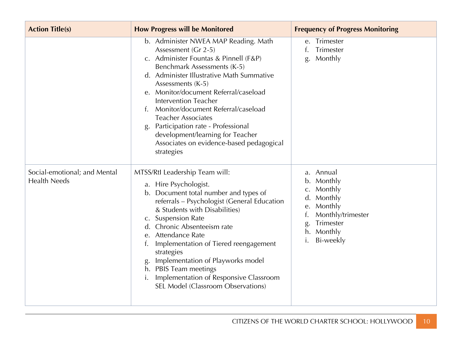| <b>Action Title(s)</b>                              | <b>How Progress will be Monitored</b>                                                                                                                                                                                                                                                                                                                                                                                                                                                     | <b>Frequency of Progress Monitoring</b>                                                                                                       |
|-----------------------------------------------------|-------------------------------------------------------------------------------------------------------------------------------------------------------------------------------------------------------------------------------------------------------------------------------------------------------------------------------------------------------------------------------------------------------------------------------------------------------------------------------------------|-----------------------------------------------------------------------------------------------------------------------------------------------|
|                                                     | b. Administer NWEA MAP Reading. Math<br>Assessment (Gr 2-5)<br>c. Administer Fountas & Pinnell (F&P)<br>Benchmark Assessments (K-5)<br>d. Administer Illustrative Math Summative<br>Assessments (K-5)<br>e. Monitor/document Referral/caseload<br><b>Intervention Teacher</b><br>Monitor/document Referral/caseload<br>f.<br><b>Teacher Associates</b><br>Participation rate - Professional<br>development/learning for Teacher<br>Associates on evidence-based pedagogical<br>strategies | e. Trimester<br>Trimester<br>Monthly<br>g.                                                                                                    |
| Social-emotional; and Mental<br><b>Health Needs</b> | MTSS/Rtl Leadership Team will:<br>a. Hire Psychologist.<br>b. Document total number and types of<br>referrals - Psychologist (General Education<br>& Students with Disabilities)<br>c. Suspension Rate<br>Chronic Absenteeism rate<br>d.<br>e. Attendance Rate<br>Implementation of Tiered reengagement<br>strategies<br>Implementation of Playworks model<br>g.<br>PBIS Team meetings<br>h.<br>Implementation of Responsive Classroom<br>SEL Model (Classroom Observations)              | a. Annual<br>b. Monthly<br>Monthly<br>C.<br>d. Monthly<br>Monthly<br>e.<br>Monthly/trimester<br>Trimester<br>g.<br>Monthly<br>h.<br>Bi-weekly |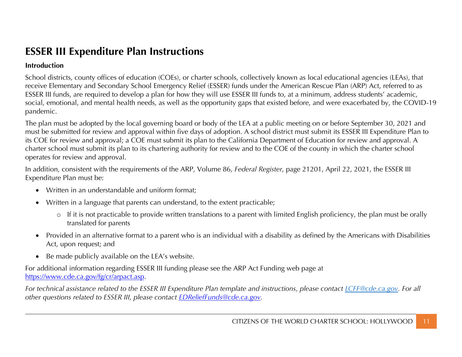# **ESSER III Expenditure Plan Instructions**

### **Introduction**

School districts, county offices of education (COEs), or charter schools, collectively known as local educational agencies (LEAs), that receive Elementary and Secondary School Emergency Relief (ESSER) funds under the American Rescue Plan (ARP) Act, referred to as ESSER III funds, are required to develop a plan for how they will use ESSER III funds to, at a minimum, address students' academic, social, emotional, and mental health needs, as well as the opportunity gaps that existed before, and were exacerbated by, the COVID-19 pandemic.

The plan must be adopted by the local governing board or body of the LEA at a public meeting on or before September 30, 2021 and must be submitted for review and approval within five days of adoption. A school district must submit its ESSER III Expenditure Plan to its COE for review and approval; a COE must submit its plan to the California Department of Education for review and approval. A charter school must submit its plan to its chartering authority for review and to the COE of the county in which the charter school operates for review and approval.

In addition, consistent with the requirements of the ARP, Volume 86, *Federal Register*, page 21201, April 22, 2021, the ESSER III Expenditure Plan must be:

- Written in an understandable and uniform format;
- Written in a language that parents can understand, to the extent practicable;
	- o If it is not practicable to provide written translations to a parent with limited English proficiency, the plan must be orally translated for parents
- Provided in an alternative format to a parent who is an individual with a disability as defined by the Americans with Disabilities Act, upon request; and
- Be made publicly available on the LEA's website.

For additional information regarding ESSER III funding please see the ARP Act Funding web page at https://www.cde.ca.gov/fg/cr/arpact.asp.

*For technical assistance related to the ESSER III Expenditure Plan template and instructions, please contact LCFF@cde.ca.gov. For all other questions related to ESSER III, please contact EDReliefFunds@cde.ca.gov.*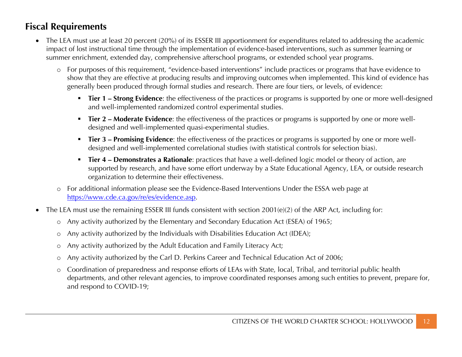## **Fiscal Requirements**

- The LEA must use at least 20 percent (20%) of its ESSER III apportionment for expenditures related to addressing the academic impact of lost instructional time through the implementation of evidence-based interventions, such as summer learning or summer enrichment, extended day, comprehensive afterschool programs, or extended school year programs.
	- o For purposes of this requirement, "evidence-based interventions" include practices or programs that have evidence to show that they are effective at producing results and improving outcomes when implemented. This kind of evidence has generally been produced through formal studies and research. There are four tiers, or levels, of evidence:
		- **Tier 1 Strong Evidence**: the effectiveness of the practices or programs is supported by one or more well-designed and well-implemented randomized control experimental studies.
		- **Tier 2 Moderate Evidence**: the effectiveness of the practices or programs is supported by one or more welldesigned and well-implemented quasi-experimental studies.
		- § **Tier 3 – Promising Evidence**: the effectiveness of the practices or programs is supported by one or more welldesigned and well-implemented correlational studies (with statistical controls for selection bias).
		- § **Tier 4 – Demonstrates a Rationale**: practices that have a well-defined logic model or theory of action, are supported by research, and have some effort underway by a State Educational Agency, LEA, or outside research organization to determine their effectiveness.
	- o For additional information please see the Evidence-Based Interventions Under the ESSA web page at https://www.cde.ca.gov/re/es/evidence.asp.
- The LEA must use the remaining ESSER III funds consistent with section 2001(e)(2) of the ARP Act, including for:
	- o Any activity authorized by the Elementary and Secondary Education Act (ESEA) of 1965;
	- o Any activity authorized by the Individuals with Disabilities Education Act (IDEA);
	- o Any activity authorized by the Adult Education and Family Literacy Act;
	- o Any activity authorized by the Carl D. Perkins Career and Technical Education Act of 2006;
	- o Coordination of preparedness and response efforts of LEAs with State, local, Tribal, and territorial public health departments, and other relevant agencies, to improve coordinated responses among such entities to prevent, prepare for, and respond to COVID-19;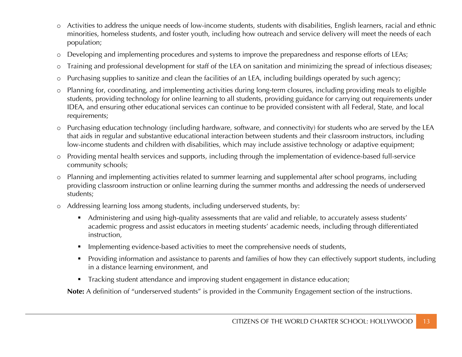- o Activities to address the unique needs of low-income students, students with disabilities, English learners, racial and ethnic minorities, homeless students, and foster youth, including how outreach and service delivery will meet the needs of each population;
- o Developing and implementing procedures and systems to improve the preparedness and response efforts of LEAs;
- o Training and professional development for staff of the LEA on sanitation and minimizing the spread of infectious diseases;
- o Purchasing supplies to sanitize and clean the facilities of an LEA, including buildings operated by such agency;
- o Planning for, coordinating, and implementing activities during long-term closures, including providing meals to eligible students, providing technology for online learning to all students, providing guidance for carrying out requirements under IDEA, and ensuring other educational services can continue to be provided consistent with all Federal, State, and local requirements;
- o Purchasing education technology (including hardware, software, and connectivity) for students who are served by the LEA that aids in regular and substantive educational interaction between students and their classroom instructors, including low-income students and children with disabilities, which may include assistive technology or adaptive equipment;
- o Providing mental health services and supports, including through the implementation of evidence-based full-service community schools;
- o Planning and implementing activities related to summer learning and supplemental after school programs, including providing classroom instruction or online learning during the summer months and addressing the needs of underserved students;
- o Addressing learning loss among students, including underserved students, by:
	- Administering and using high-quality assessments that are valid and reliable, to accurately assess students' academic progress and assist educators in meeting students' academic needs, including through differentiated instruction,
	- **•** Implementing evidence-based activities to meet the comprehensive needs of students,
	- § Providing information and assistance to parents and families of how they can effectively support students, including in a distance learning environment, and
	- **•** Tracking student attendance and improving student engagement in distance education;

**Note:** A definition of "underserved students" is provided in the Community Engagement section of the instructions.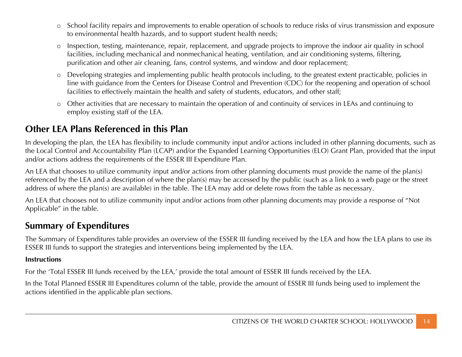- o School facility repairs and improvements to enable operation of schools to reduce risks of virus transmission and exposure to environmental health hazards, and to support student health needs;
- o Inspection, testing, maintenance, repair, replacement, and upgrade projects to improve the indoor air quality in school facilities, including mechanical and nonmechanical heating, ventilation, and air conditioning systems, filtering, purification and other air cleaning, fans, control systems, and window and door replacement;
- o Developing strategies and implementing public health protocols including, to the greatest extent practicable, policies in line with guidance from the Centers for Disease Control and Prevention (CDC) for the reopening and operation of school facilities to effectively maintain the health and safety of students, educators, and other staff;
- o Other activities that are necessary to maintain the operation of and continuity of services in LEAs and continuing to employ existing staff of the LEA.

## **Other LEA Plans Referenced in this Plan**

In developing the plan, the LEA has flexibility to include community input and/or actions included in other planning documents, such as the Local Control and Accountability Plan (LCAP) and/or the Expanded Learning Opportunities (ELO) Grant Plan, provided that the input and/or actions address the requirements of the ESSER III Expenditure Plan.

An LEA that chooses to utilize community input and/or actions from other planning documents must provide the name of the plan(s) referenced by the LEA and a description of where the plan(s) may be accessed by the public (such as a link to a web page or the street address of where the plan(s) are available) in the table. The LEA may add or delete rows from the table as necessary.

An LEA that chooses not to utilize community input and/or actions from other planning documents may provide a response of "Not Applicable" in the table.

## **Summary of Expenditures**

The Summary of Expenditures table provides an overview of the ESSER III funding received by the LEA and how the LEA plans to use its ESSER III funds to support the strategies and interventions being implemented by the LEA.

### **Instructions**

For the 'Total ESSER III funds received by the LEA,' provide the total amount of ESSER III funds received by the LEA.

In the Total Planned ESSER III Expenditures column of the table, provide the amount of ESSER III funds being used to implement the actions identified in the applicable plan sections.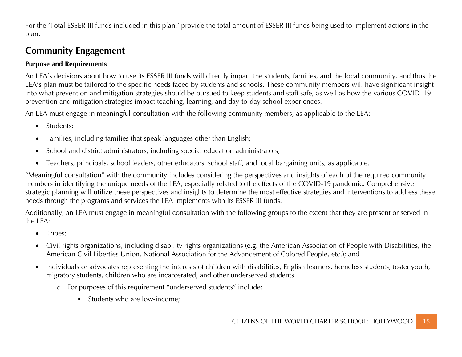For the 'Total ESSER III funds included in this plan,' provide the total amount of ESSER III funds being used to implement actions in the plan.

## **Community Engagement**

### **Purpose and Requirements**

An LEA's decisions about how to use its ESSER III funds will directly impact the students, families, and the local community, and thus the LEA's plan must be tailored to the specific needs faced by students and schools. These community members will have significant insight into what prevention and mitigation strategies should be pursued to keep students and staff safe, as well as how the various COVID–19 prevention and mitigation strategies impact teaching, learning, and day-to-day school experiences.

An LEA must engage in meaningful consultation with the following community members, as applicable to the LEA:

- Students;
- Families, including families that speak languages other than English;
- School and district administrators, including special education administrators;
- Teachers, principals, school leaders, other educators, school staff, and local bargaining units, as applicable.

"Meaningful consultation" with the community includes considering the perspectives and insights of each of the required community members in identifying the unique needs of the LEA, especially related to the effects of the COVID-19 pandemic. Comprehensive strategic planning will utilize these perspectives and insights to determine the most effective strategies and interventions to address these needs through the programs and services the LEA implements with its ESSER III funds.

Additionally, an LEA must engage in meaningful consultation with the following groups to the extent that they are present or served in the LEA:

- Tribes:
- Civil rights organizations, including disability rights organizations (e.g. the American Association of People with Disabilities, the American Civil Liberties Union, National Association for the Advancement of Colored People, etc.); and
- Individuals or advocates representing the interests of children with disabilities, English learners, homeless students, foster youth, migratory students, children who are incarcerated, and other underserved students.
	- o For purposes of this requirement "underserved students" include:
		- Students who are low-income;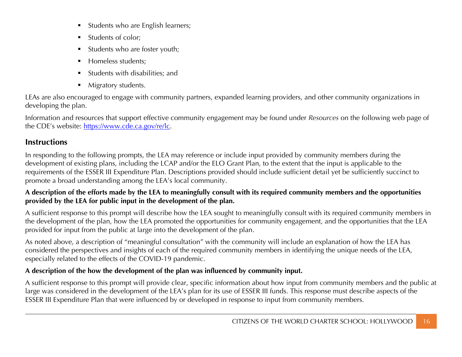- § Students who are English learners;
- § Students of color;
- § Students who are foster youth;
- § Homeless students;
- § Students with disabilities; and
- Migratory students.

LEAs are also encouraged to engage with community partners, expanded learning providers, and other community organizations in developing the plan.

Information and resources that support effective community engagement may be found under *Resources* on the following web page of the CDE's website: https://www.cde.ca.gov/re/lc.

### **Instructions**

In responding to the following prompts, the LEA may reference or include input provided by community members during the development of existing plans, including the LCAP and/or the ELO Grant Plan, to the extent that the input is applicable to the requirements of the ESSER III Expenditure Plan. Descriptions provided should include sufficient detail yet be sufficiently succinct to promote a broad understanding among the LEA's local community.

### **A description of the efforts made by the LEA to meaningfully consult with its required community members and the opportunities provided by the LEA for public input in the development of the plan.**

A sufficient response to this prompt will describe how the LEA sought to meaningfully consult with its required community members in the development of the plan, how the LEA promoted the opportunities for community engagement, and the opportunities that the LEA provided for input from the public at large into the development of the plan.

As noted above, a description of "meaningful consultation" with the community will include an explanation of how the LEA has considered the perspectives and insights of each of the required community members in identifying the unique needs of the LEA, especially related to the effects of the COVID-19 pandemic.

### **A description of the how the development of the plan was influenced by community input.**

A sufficient response to this prompt will provide clear, specific information about how input from community members and the public at large was considered in the development of the LEA's plan for its use of ESSER III funds. This response must describe aspects of the ESSER III Expenditure Plan that were influenced by or developed in response to input from community members.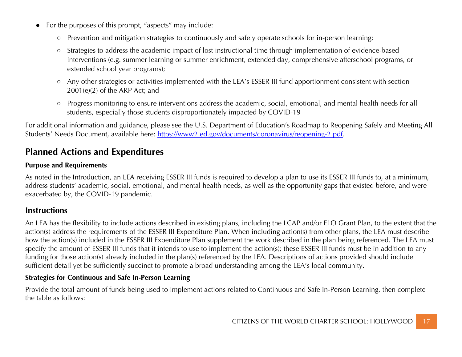- For the purposes of this prompt, "aspects" may include:
	- Prevention and mitigation strategies to continuously and safely operate schools for in-person learning;
	- Strategies to address the academic impact of lost instructional time through implementation of evidence-based interventions (e.g. summer learning or summer enrichment, extended day, comprehensive afterschool programs, or extended school year programs);
	- Any other strategies or activities implemented with the LEA's ESSER III fund apportionment consistent with section 2001(e)(2) of the ARP Act; and
	- Progress monitoring to ensure interventions address the academic, social, emotional, and mental health needs for all students, especially those students disproportionately impacted by COVID-19

For additional information and guidance, please see the U.S. Department of Education's Roadmap to Reopening Safely and Meeting All Students' Needs Document, available here: https://www2.ed.gov/documents/coronavirus/reopening-2.pdf.

## **Planned Actions and Expenditures**

### **Purpose and Requirements**

As noted in the Introduction, an LEA receiving ESSER III funds is required to develop a plan to use its ESSER III funds to, at a minimum, address students' academic, social, emotional, and mental health needs, as well as the opportunity gaps that existed before, and were exacerbated by, the COVID-19 pandemic.

### **Instructions**

An LEA has the flexibility to include actions described in existing plans, including the LCAP and/or ELO Grant Plan, to the extent that the action(s) address the requirements of the ESSER III Expenditure Plan. When including action(s) from other plans, the LEA must describe how the action(s) included in the ESSER III Expenditure Plan supplement the work described in the plan being referenced. The LEA must specify the amount of ESSER III funds that it intends to use to implement the action(s); these ESSER III funds must be in addition to any funding for those action(s) already included in the plan(s) referenced by the LEA. Descriptions of actions provided should include sufficient detail yet be sufficiently succinct to promote a broad understanding among the LEA's local community.

#### **Strategies for Continuous and Safe In-Person Learning**

Provide the total amount of funds being used to implement actions related to Continuous and Safe In-Person Learning, then complete the table as follows: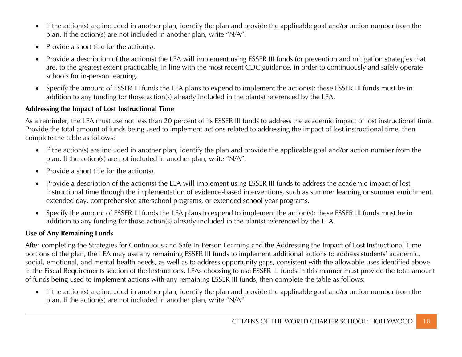- If the action(s) are included in another plan, identify the plan and provide the applicable goal and/or action number from the plan. If the action(s) are not included in another plan, write "N/A".
- Provide a short title for the action(s).
- Provide a description of the action(s) the LEA will implement using ESSER III funds for prevention and mitigation strategies that are, to the greatest extent practicable, in line with the most recent CDC guidance, in order to continuously and safely operate schools for in-person learning.
- Specify the amount of ESSER III funds the LEA plans to expend to implement the action(s); these ESSER III funds must be in addition to any funding for those action(s) already included in the plan(s) referenced by the LEA.

### **Addressing the Impact of Lost Instructional Time**

As a reminder, the LEA must use not less than 20 percent of its ESSER III funds to address the academic impact of lost instructional time. Provide the total amount of funds being used to implement actions related to addressing the impact of lost instructional time, then complete the table as follows:

- If the action(s) are included in another plan, identify the plan and provide the applicable goal and/or action number from the plan. If the action(s) are not included in another plan, write "N/A".
- Provide a short title for the action(s).
- Provide a description of the action(s) the LEA will implement using ESSER III funds to address the academic impact of lost instructional time through the implementation of evidence-based interventions, such as summer learning or summer enrichment, extended day, comprehensive afterschool programs, or extended school year programs.
- Specify the amount of ESSER III funds the LEA plans to expend to implement the action(s); these ESSER III funds must be in addition to any funding for those action(s) already included in the plan(s) referenced by the LEA.

### **Use of Any Remaining Funds**

After completing the Strategies for Continuous and Safe In-Person Learning and the Addressing the Impact of Lost Instructional Time portions of the plan, the LEA may use any remaining ESSER III funds to implement additional actions to address students' academic, social, emotional, and mental health needs, as well as to address opportunity gaps, consistent with the allowable uses identified above in the Fiscal Requirements section of the Instructions. LEAs choosing to use ESSER III funds in this manner must provide the total amount of funds being used to implement actions with any remaining ESSER III funds, then complete the table as follows:

• If the action(s) are included in another plan, identify the plan and provide the applicable goal and/or action number from the plan. If the action(s) are not included in another plan, write "N/A".